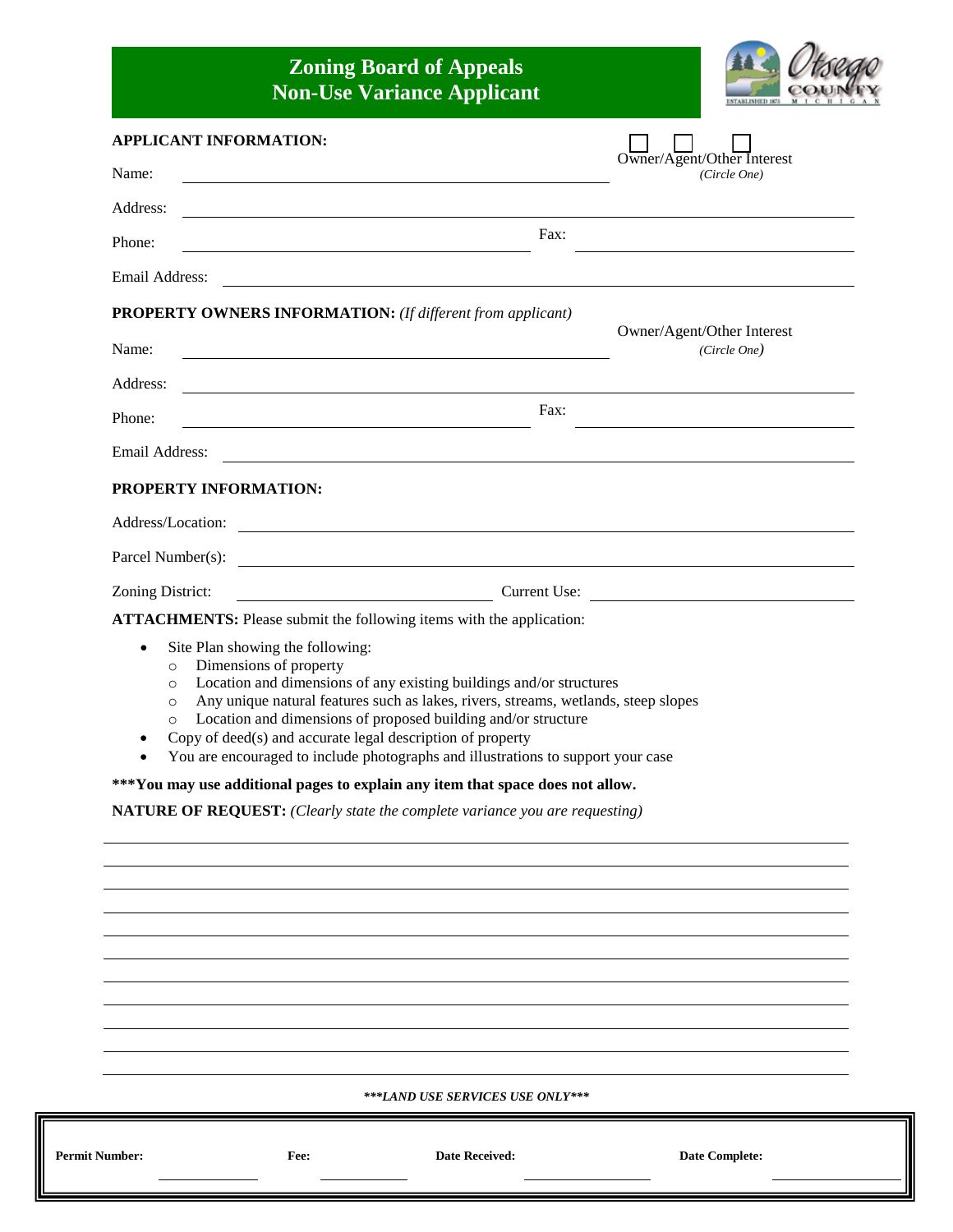## **Zoning Board of Appeals Non-Use Variance Applicant**



| APPLICANT INFORMATION:                                                                                                                                                                                                                                                                                                                                                                                                                                                                              |                                            |  |  |  |
|-----------------------------------------------------------------------------------------------------------------------------------------------------------------------------------------------------------------------------------------------------------------------------------------------------------------------------------------------------------------------------------------------------------------------------------------------------------------------------------------------------|--------------------------------------------|--|--|--|
| Name:                                                                                                                                                                                                                                                                                                                                                                                                                                                                                               | Owner/Agent/Other Interest<br>(Circle One) |  |  |  |
| Address:                                                                                                                                                                                                                                                                                                                                                                                                                                                                                            |                                            |  |  |  |
| Fax:<br>Phone:                                                                                                                                                                                                                                                                                                                                                                                                                                                                                      |                                            |  |  |  |
| Email Address:                                                                                                                                                                                                                                                                                                                                                                                                                                                                                      |                                            |  |  |  |
| <b>PROPERTY OWNERS INFORMATION:</b> (If different from applicant)                                                                                                                                                                                                                                                                                                                                                                                                                                   |                                            |  |  |  |
| Name:<br><u> 1989 - Johann Barbara, martin amerikan basar dan berasal dan berasal dalam basar dalam basar dalam basar dala</u>                                                                                                                                                                                                                                                                                                                                                                      | Owner/Agent/Other Interest<br>(Circle One) |  |  |  |
| Address:                                                                                                                                                                                                                                                                                                                                                                                                                                                                                            |                                            |  |  |  |
| Fax:<br>Phone:                                                                                                                                                                                                                                                                                                                                                                                                                                                                                      |                                            |  |  |  |
| Email Address:                                                                                                                                                                                                                                                                                                                                                                                                                                                                                      |                                            |  |  |  |
| PROPERTY INFORMATION:                                                                                                                                                                                                                                                                                                                                                                                                                                                                               |                                            |  |  |  |
| Address/Location:                                                                                                                                                                                                                                                                                                                                                                                                                                                                                   |                                            |  |  |  |
| Parcel Number(s):                                                                                                                                                                                                                                                                                                                                                                                                                                                                                   |                                            |  |  |  |
| Zoning District:<br><u> 1980 - Johann Barbara, martin a</u>                                                                                                                                                                                                                                                                                                                                                                                                                                         | Current Use:                               |  |  |  |
| <b>ATTACHMENTS:</b> Please submit the following items with the application:                                                                                                                                                                                                                                                                                                                                                                                                                         |                                            |  |  |  |
| Site Plan showing the following:<br>$\bullet$<br>Dimensions of property<br>$\circ$<br>Location and dimensions of any existing buildings and/or structures<br>$\circ$<br>Any unique natural features such as lakes, rivers, streams, wetlands, steep slopes<br>$\circ$<br>Location and dimensions of proposed building and/or structure<br>$\circ$<br>Copy of deed(s) and accurate legal description of property<br>You are encouraged to include photographs and illustrations to support your case |                                            |  |  |  |
| ***You may use additional pages to explain any item that space does not allow.                                                                                                                                                                                                                                                                                                                                                                                                                      |                                            |  |  |  |
| <b>NATURE OF REQUEST:</b> (Clearly state the complete variance you are requesting)                                                                                                                                                                                                                                                                                                                                                                                                                  |                                            |  |  |  |
|                                                                                                                                                                                                                                                                                                                                                                                                                                                                                                     |                                            |  |  |  |
|                                                                                                                                                                                                                                                                                                                                                                                                                                                                                                     |                                            |  |  |  |
|                                                                                                                                                                                                                                                                                                                                                                                                                                                                                                     |                                            |  |  |  |
|                                                                                                                                                                                                                                                                                                                                                                                                                                                                                                     |                                            |  |  |  |
|                                                                                                                                                                                                                                                                                                                                                                                                                                                                                                     |                                            |  |  |  |
|                                                                                                                                                                                                                                                                                                                                                                                                                                                                                                     |                                            |  |  |  |
|                                                                                                                                                                                                                                                                                                                                                                                                                                                                                                     |                                            |  |  |  |
| ***LAND USE SERVICES USE ONLY***                                                                                                                                                                                                                                                                                                                                                                                                                                                                    |                                            |  |  |  |

**Permit Number: Fee: Date Received: Date Complete:**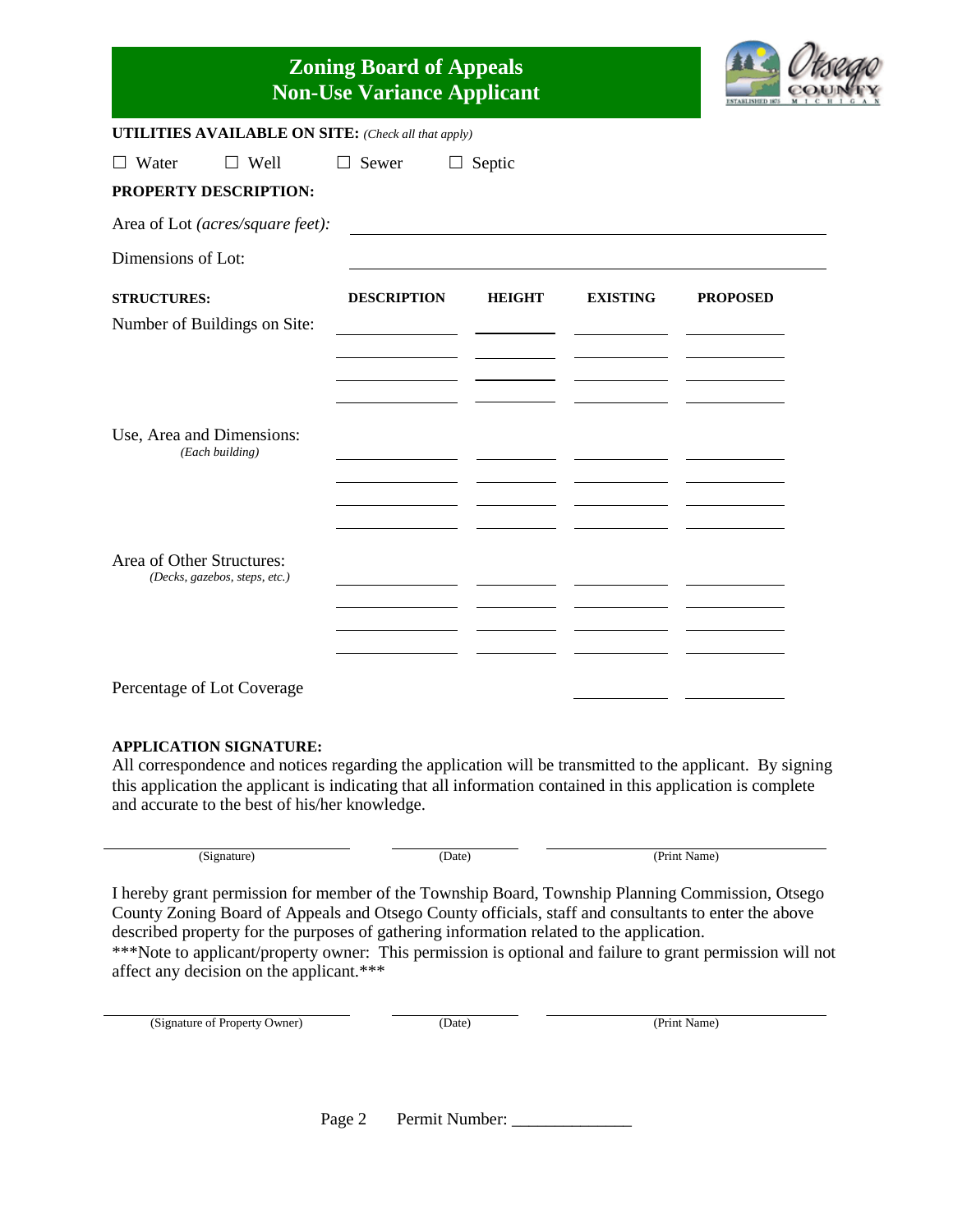| <b>Zoning Board of Appeals</b><br><b>Non-Use Variance Applicant</b>                                |                    |               |                 | <b>FART ISSUED 18</b> |
|----------------------------------------------------------------------------------------------------|--------------------|---------------|-----------------|-----------------------|
| <b>UTILITIES AVAILABLE ON SITE:</b> (Check all that apply)                                         |                    |               |                 |                       |
| Water<br>$\Box$ Well<br>PROPERTY DESCRIPTION:                                                      | Sewer<br>$\perp$   | $\Box$ Septic |                 |                       |
| Area of Lot (acres/square feet):                                                                   |                    |               |                 |                       |
| Dimensions of Lot:                                                                                 |                    |               |                 |                       |
| <b>STRUCTURES:</b><br>Number of Buildings on Site:<br>Use, Area and Dimensions:<br>(Each building) | <b>DESCRIPTION</b> | <b>HEIGHT</b> | <b>EXISTING</b> | <b>PROPOSED</b>       |
| Area of Other Structures:<br>(Decks, gazebos, steps, etc.)                                         |                    |               |                 |                       |
| Percentage of Lot Coverage                                                                         |                    |               |                 |                       |

## **APPLICATION SIGNATURE:**

All correspondence and notices regarding the application will be transmitted to the applicant. By signing this application the applicant is indicating that all information contained in this application is complete and accurate to the best of his/her knowledge.

| (Signature) | Date) | (Print Name) |
|-------------|-------|--------------|
|             |       |              |

I hereby grant permission for member of the Township Board, Township Planning Commission, Otsego County Zoning Board of Appeals and Otsego County officials, staff and consultants to enter the above described property for the purposes of gathering information related to the application. \*\*\*Note to applicant/property owner: This permission is optional and failure to grant permission will not

affect any decision on the applicant.\*\*\*

| (Signature of Property Owner) | (Date) | (Print Name) |
|-------------------------------|--------|--------------|
|                               |        |              |
|                               |        |              |
|                               |        |              |

Page 2 Permit Number: \_\_\_\_\_\_\_\_\_\_\_\_\_\_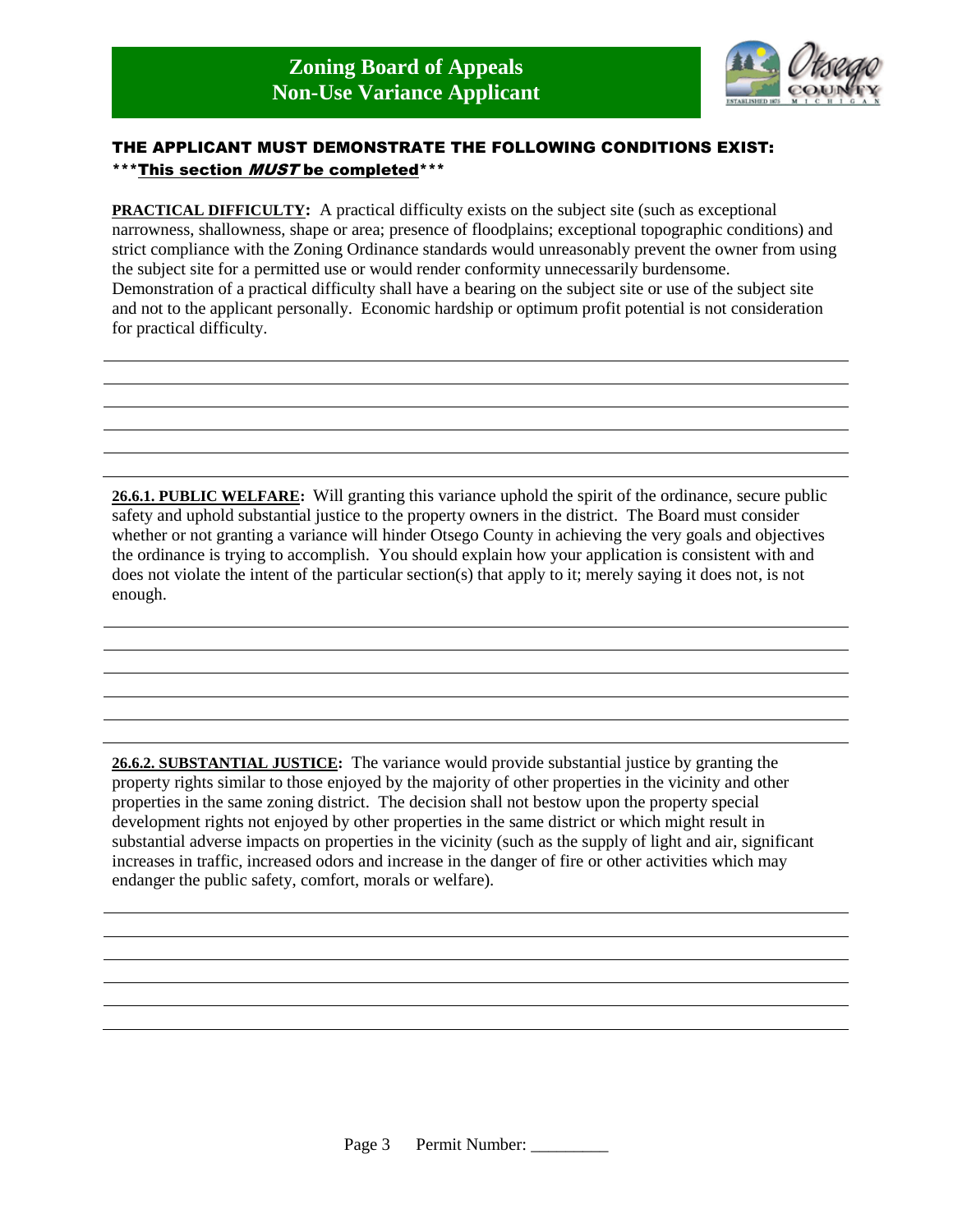

## THE APPLICANT MUST DEMONSTRATE THE FOLLOWING CONDITIONS EXIST: \*\*\*This section *MUST* be completed\*\*\*

**PRACTICAL DIFFICULTY:** A practical difficulty exists on the subject site (such as exceptional narrowness, shallowness, shape or area; presence of floodplains; exceptional topographic conditions) and strict compliance with the Zoning Ordinance standards would unreasonably prevent the owner from using the subject site for a permitted use or would render conformity unnecessarily burdensome. Demonstration of a practical difficulty shall have a bearing on the subject site or use of the subject site and not to the applicant personally. Economic hardship or optimum profit potential is not consideration for practical difficulty.

**26.6.1. PUBLIC WELFARE:** Will granting this variance uphold the spirit of the ordinance, secure public safety and uphold substantial justice to the property owners in the district. The Board must consider whether or not granting a variance will hinder Otsego County in achieving the very goals and objectives the ordinance is trying to accomplish. You should explain how your application is consistent with and does not violate the intent of the particular section(s) that apply to it; merely saying it does not, is not enough.

**26.6.2. SUBSTANTIAL JUSTICE:** The variance would provide substantial justice by granting the property rights similar to those enjoyed by the majority of other properties in the vicinity and other properties in the same zoning district. The decision shall not bestow upon the property special development rights not enjoyed by other properties in the same district or which might result in substantial adverse impacts on properties in the vicinity (such as the supply of light and air, significant increases in traffic, increased odors and increase in the danger of fire or other activities which may endanger the public safety, comfort, morals or welfare).